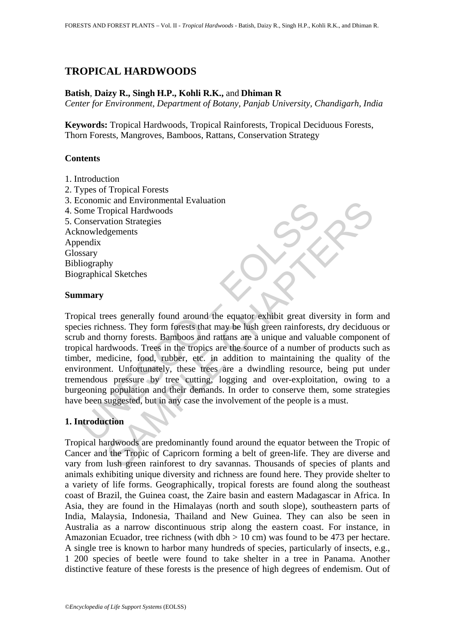## **TROPICAL HARDWOODS**

#### **Batish**, **Daizy R., Singh H.P., Kohli R.K.,** and **Dhiman R**

*Center for Environment, Department of Botany, Panjab University, Chandigarh, India* 

**Keywords:** Tropical Hardwoods, Tropical Rainforests, Tropical Deciduous Forests, Thorn Forests, Mangroves, Bamboos, Rattans, Conservation Strategy

#### **Contents**

- 1. Introduction
- 2. Types of Tropical Forests 3. Economic and Environmental Evaluation 4. Some Tropical Hardwoods 5. Conservation Strategies Acknowledgements Appendix Glossary Bibliography Biographical Sketches

#### **Summary**

conomic and Environmental Evaluation<br>
conservation Strategies<br>
conservation Strategies<br>
anowledgements<br>
stary<br>
ilography<br>
praphical Sketches<br> **mary**<br>
pical trees generally found around the equator exhibit great div-<br>
stary ic an environmental evaluation<br>opicial Hardwoods<br>ation Strategies<br>dements Shape at the equal of the equator schild results of the state of<br>ation Strategies<br>dements. They form forests that may be lush green rainforests, dy Tropical trees generally found around the equator exhibit great diversity in form and species richness. They form forests that may be lush green rainforests, dry deciduous or scrub and thorny forests. Bamboos and rattans are a unique and valuable component of tropical hardwoods. Trees in the tropics are the source of a number of products such as timber, medicine, food, rubber, etc. in addition to maintaining the quality of the environment. Unfortunately, these trees are a dwindling resource, being put under tremendous pressure by tree cutting, logging and over-exploitation, owing to a burgeoning population and their demands. In order to conserve them, some strategies have been suggested, but in any case the involvement of the people is a must.

## **1. Introduction**

Tropical hardwoods are predominantly found around the equator between the Tropic of Cancer and the Tropic of Capricorn forming a belt of green-life. They are diverse and vary from lush green rainforest to dry savannas. Thousands of species of plants and animals exhibiting unique diversity and richness are found here. They provide shelter to a variety of life forms. Geographically, tropical forests are found along the southeast coast of Brazil, the Guinea coast, the Zaire basin and eastern Madagascar in Africa. In Asia, they are found in the Himalayas (north and south slope), southeastern parts of India, Malaysia, Indonesia, Thailand and New Guinea. They can also be seen in Australia as a narrow discontinuous strip along the eastern coast. For instance, in Amazonian Ecuador, tree richness (with dbh  $> 10$  cm) was found to be 473 per hectare. A single tree is known to harbor many hundreds of species, particularly of insects, e.g., 1 200 species of beetle were found to take shelter in a tree in Panama. Another distinctive feature of these forests is the presence of high degrees of endemism. Out of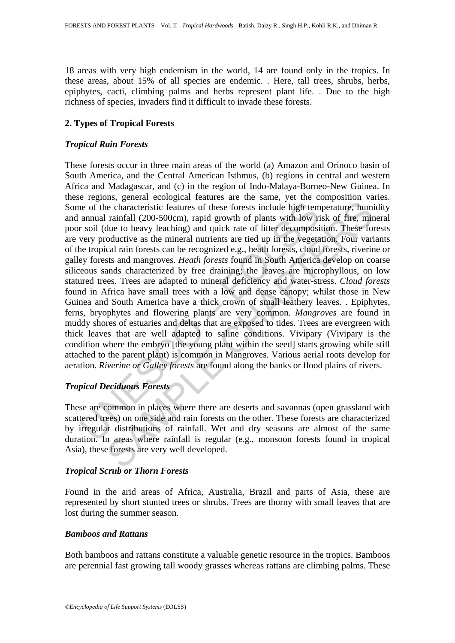18 areas with very high endemism in the world, 14 are found only in the tropics. In these areas, about 15% of all species are endemic. . Here, tall trees, shrubs, herbs, epiphytes, cacti, climbing palms and herbs represent plant life. . Due to the high richness of species, invaders find it difficult to invade these forests.

#### **2. Types of Tropical Forests**

#### *Tropical Rain Forests*

is eo f the characteristic features of these forests include high tem<br>annual rainfall (200-500cm), rapid growth of plants with low ri<br>soil (due to heavy leaching) and quick rate of litter decomposi<br>very productive as the m income contracted in the set of these forests include high temperature, huminfall (200-500cm), rapid growth of plants with low risk of free, minimfall (200-500cm), rapid growth of plants with low risk of free, minimfall ( These forests occur in three main areas of the world (a) Amazon and Orinoco basin of South America, and the Central American Isthmus, (b) regions in central and western Africa and Madagascar, and (c) in the region of Indo-Malaya-Borneo-New Guinea. In these regions, general ecological features are the same, yet the composition varies. Some of the characteristic features of these forests include high temperature, humidity and annual rainfall (200-500cm), rapid growth of plants with low risk of fire, mineral poor soil (due to heavy leaching) and quick rate of litter decomposition. These forests are very productive as the mineral nutrients are tied up in the vegetation. Four variants of the tropical rain forests can be recognized e.g., heath forests, cloud forests, riverine or galley forests and mangroves. *Heath forests* found in South America develop on coarse siliceous sands characterized by free draining; the leaves are microphyllous, on low statured trees. Trees are adapted to mineral deficiency and water-stress. *Cloud forests* found in Africa have small trees with a low and dense canopy; whilst those in New Guinea and South America have a thick crown of small leathery leaves. . Epiphytes, ferns, bryophytes and flowering plants are very common. *Mangroves* are found in muddy shores of estuaries and deltas that are exposed to tides. Trees are evergreen with thick leaves that are well adapted to saline conditions. Vivipary (Vivipary is the condition where the embryo [the young plant within the seed] starts growing while still attached to the parent plant) is common in Mangroves. Various aerial roots develop for aeration. *Riverine or Galley forests* are found along the banks or flood plains of rivers.

## *Tropical Deciduous Forests*

These are common in places where there are deserts and savannas (open grassland with scattered trees) on one side and rain forests on the other. These forests are characterized by irregular distributions of rainfall. Wet and dry seasons are almost of the same duration. In areas where rainfall is regular (e.g., monsoon forests found in tropical Asia), these forests are very well developed.

#### *Tropical Scrub or Thorn Forests*

Found in the arid areas of Africa, Australia, Brazil and parts of Asia, these are represented by short stunted trees or shrubs. Trees are thorny with small leaves that are lost during the summer season.

#### *Bamboos and Rattans*

Both bamboos and rattans constitute a valuable genetic resource in the tropics. Bamboos are perennial fast growing tall woody grasses whereas rattans are climbing palms. These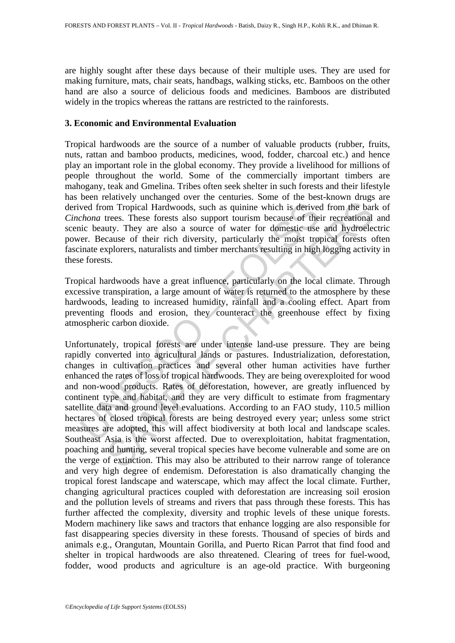are highly sought after these days because of their multiple uses. They are used for making furniture, mats, chair seats, handbags, walking sticks, etc. Bamboos on the other hand are also a source of delicious foods and medicines. Bamboos are distributed widely in the tropics whereas the rattans are restricted to the rainforests.

#### **3. Economic and Environmental Evaluation**

Tropical hardwoods are the source of a number of valuable products (rubber, fruits, nuts, rattan and bamboo products, medicines, wood, fodder, charcoal etc.) and hence play an important role in the global economy. They provide a livelihood for millions of people throughout the world. Some of the commercially important timbers are mahogany, teak and Gmelina. Tribes often seek shelter in such forests and their lifestyle has been relatively unchanged over the centuries. Some of the best-known drugs are derived from Tropical Hardwoods, such as quinine which is derived from the bark of *Cinchona* trees. These forests also support tourism because of their recreational and scenic beauty. They are also a source of water for domestic use and hydroelectric power. Because of their rich diversity, particularly the moist tropical forests often fascinate explorers, naturalists and timber merchants resulting in high logging activity in these forests.

Tropical hardwoods have a great influence, particularly on the local climate. Through excessive transpiration, a large amount of water is returned to the atmosphere by these hardwoods, leading to increased humidity, rainfall and a cooling effect. Apart from preventing floods and erosion, they counteract the greenhouse effect by fixing atmospheric carbon dioxide.

ved from Tropical Hardwoods, such as quinine which is derivectiona trees. These forests also support tourism because of the licit beauty. They are also a source of water for domestic use er. Because of their rich diversity Im Tropical Hardwoods, such as quinine which is derived from the bar<br>trees. These forests also support tourism because of their recreational<br>uty. They are also a source of water for domestic use and hydroeles<br>cause of thei Unfortunately, tropical forests are under intense land-use pressure. They are being rapidly converted into agricultural lands or pastures. Industrialization, deforestation, changes in cultivation practices and several other human activities have further enhanced the rates of loss of tropical hardwoods. They are being overexploited for wood and non-wood products. Rates of deforestation, however, are greatly influenced by continent type and habitat, and they are very difficult to estimate from fragmentary satellite data and ground level evaluations. According to an FAO study, 110.5 million hectares of closed tropical forests are being destroyed every year; unless some strict measures are adopted, this will affect biodiversity at both local and landscape scales. Southeast Asia is the worst affected. Due to overexploitation, habitat fragmentation, poaching and hunting, several tropical species have become vulnerable and some are on the verge of extinction. This may also be attributed to their narrow range of tolerance and very high degree of endemism. Deforestation is also dramatically changing the tropical forest landscape and waterscape, which may affect the local climate. Further, changing agricultural practices coupled with deforestation are increasing soil erosion and the pollution levels of streams and rivers that pass through these forests. This has further affected the complexity, diversity and trophic levels of these unique forests. Modern machinery like saws and tractors that enhance logging are also responsible for fast disappearing species diversity in these forests. Thousand of species of birds and animals e.g., Orangutan, Mountain Gorilla, and Puerto Rican Parrot that find food and shelter in tropical hardwoods are also threatened. Clearing of trees for fuel-wood, fodder, wood products and agriculture is an age-old practice. With burgeoning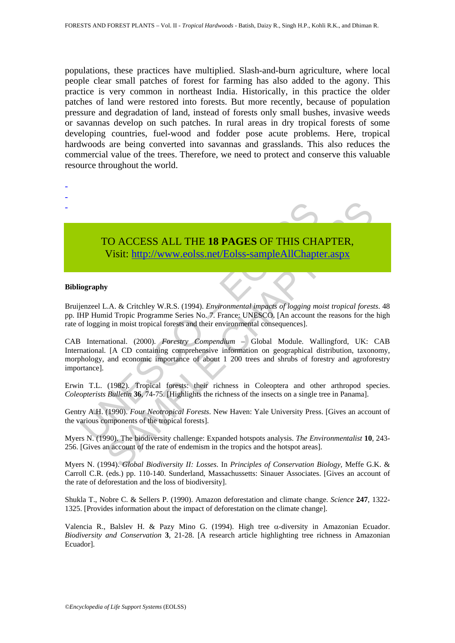populations, these practices have multiplied. Slash-and-burn agriculture, where local people clear small patches of forest for farming has also added to the agony. This practice is very common in northeast India. Historically, in this practice the older patches of land were restored into forests. But more recently, because of population pressure and degradation of land, instead of forests only small bushes, invasive weeds or savannas develop on such patches. In rural areas in dry tropical forests of some developing countries, fuel-wood and fodder pose acute problems. Here, tropical hardwoods are being converted into savannas and grasslands. This also reduces the commercial value of the trees. Therefore, we need to protect and conserve this valuable resource throughout the world.



# TO ACCESS ALL THE **18 PAGES** OF THIS CHAPTER,

Visit: http://www.eolss.net/Eolss-sampleAllChapter.aspx

#### **Bibliography**

Bruijenzeel L.A. & Critchley W.R.S. (1994). *Environmental impacts of logging moist tropical forests*. 48 pp. IHP Humid Tropic Programme Series No. 7. France: UNESCO. [An account the reasons for the high rate of logging in moist tropical forests and their environmental consequences].

TO ACCESS ALL THE 18 PAGES OF THIS CHA<br>
Visit: http://www.eolss.net/Eolss-sampleAllChapte<br>
iography<br>
iography<br>
iography<br>
independence U.A. & Critchley W.R.S. (1994). *Environmental impacts of logging meAllChapte*<br>
EPI Humi CO ACCESS ALL THE 18 PAGES OF THIS CHAP[TER](https://www.eolss.net/ebooklib/sc_cart.aspx?File=E5-03-02-03),<br>
Visit: http://www.eolss.net/Eolss-sampleAllChapter.aspx<br>
2.4. & Crichley W.R.S. (1994). *Environmental impacts of logging moist tropical foress*<br>
2.4. & Crichley W.R.S. (1994). CAB International. (2000). *Forestry Compendium* – Global Module. Wallingford, UK: CAB International. [A CD containing comprehensive information on geographical distribution, taxonomy, morphology, and economic importance of about 1 200 trees and shrubs of forestry and agroforestry importance].

Erwin T.L. (1982). Tropical forests: their richness in Coleoptera and other arthropod species. *Coleopterists Bulletin* **36**, 74-75. [Highlights the richness of the insects on a single tree in Panama].

Gentry A.H. (1990). *Four Neotropical Forests*. New Haven: Yale University Press. [Gives an account of the various components of the tropical forests].

Myers N. (1990). The biodiversity challenge: Expanded hotspots analysis. *The Environmentalist* **10**, 243- 256. [Gives an account of the rate of endemism in the tropics and the hotspot areas].

Myers N. (1994). *Global Biodiversity II: Losses*. In *Principles of Conservation Biology*, Meffe G.K. & Carroll C.R. (eds.) pp. 110-140. Sunderland, Massachussetts: Sinauer Associates. [Gives an account of the rate of deforestation and the loss of biodiversity].

Shukla T., Nobre C. & Sellers P. (1990). Amazon deforestation and climate change. *Science* **247**, 1322- 1325. [Provides information about the impact of deforestation on the climate change].

Valencia R., Balslev H. & Pazy Mino G. (1994). High tree α-diversity in Amazonian Ecuador. *Biodiversity and Conservation* **3**, 21-28. [A research article highlighting tree richness in Amazonian Ecuador].